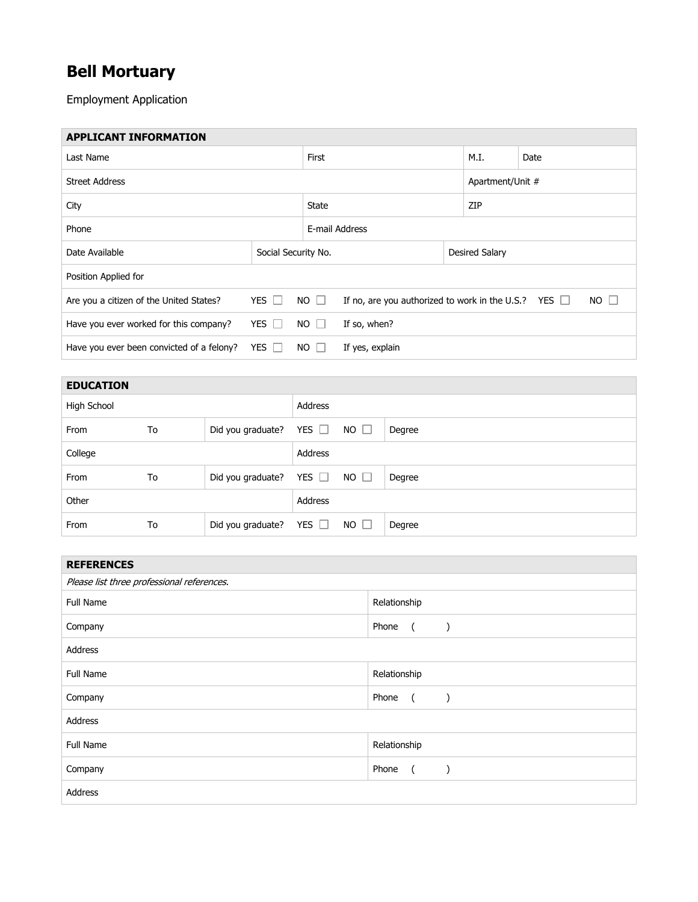## **Bell Mortuary**

Employment Application

| <b>APPLICANT INFORMATION</b>              |                     |                |                                                                          |      |                  |  |
|-------------------------------------------|---------------------|----------------|--------------------------------------------------------------------------|------|------------------|--|
| Last Name                                 |                     | First          |                                                                          | M.I. | Date             |  |
| <b>Street Address</b>                     |                     |                |                                                                          |      | Apartment/Unit # |  |
| City                                      |                     | <b>State</b>   |                                                                          | ZIP  |                  |  |
| Phone                                     |                     | E-mail Address |                                                                          |      |                  |  |
| Date Available                            | Social Security No. |                | Desired Salary                                                           |      |                  |  |
| Position Applied for                      |                     |                |                                                                          |      |                  |  |
| Are you a citizen of the United States?   | YES $\Box$          | $NO$ $\Box$    | If no, are you authorized to work in the U.S.? YES $\Box$<br>$NO$ $\Box$ |      |                  |  |
| Have you ever worked for this company?    | YES $\Box$          | $NO$ $\Box$    | If so, when?                                                             |      |                  |  |
| Have you ever been convicted of a felony? | YES $\Box$          | $NO$ $\Box$    | If yes, explain                                                          |      |                  |  |

| <b>EDUCATION</b> |    |                   |            |             |        |
|------------------|----|-------------------|------------|-------------|--------|
| High School      |    |                   | Address    |             |        |
| From             | To | Did you graduate? | YES $\Box$ | $NO$ $\Box$ | Degree |
| College          |    |                   | Address    |             |        |
| From             | To | Did you graduate? | YES $\Box$ | $NO$ $\Box$ | Degree |
| Other            |    |                   | Address    |             |        |
| From             | To | Did you graduate? | YES $\Box$ | $NO$ $\Box$ | Degree |

| <b>REFERENCES</b>                          |                                                     |  |  |  |
|--------------------------------------------|-----------------------------------------------------|--|--|--|
| Please list three professional references. |                                                     |  |  |  |
| Full Name                                  | Relationship                                        |  |  |  |
| Company                                    | Phone<br>$\overline{a}$<br>$\rightarrow$            |  |  |  |
| Address                                    |                                                     |  |  |  |
| <b>Full Name</b>                           | Relationship                                        |  |  |  |
| Company                                    | Phone<br>$\sqrt{2}$<br>$\lambda$                    |  |  |  |
| Address                                    |                                                     |  |  |  |
| Full Name                                  | Relationship                                        |  |  |  |
| Company                                    | Phone<br>$\overline{a}$<br>$\overline{\phantom{a}}$ |  |  |  |
| Address                                    |                                                     |  |  |  |